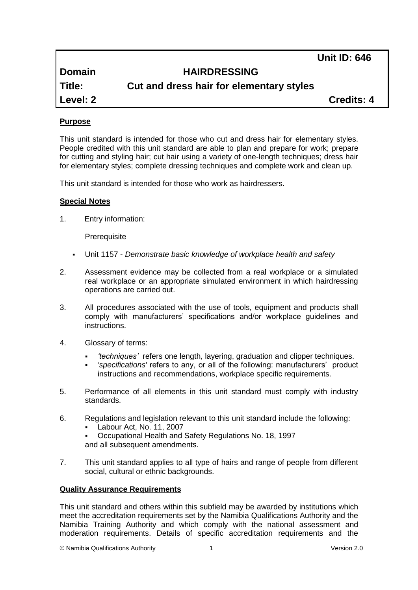**Unit ID: 646**

**Domain HAIRDRESSING**

**Title: Cut and dress hair for elementary styles**

**Level: 2 Credits: 4**

# **Purpose**

This unit standard is intended for those who cut and dress hair for elementary styles. People credited with this unit standard are able to plan and prepare for work; prepare for cutting and styling hair; cut hair using a variety of one-length techniques; dress hair for elementary styles; complete dressing techniques and complete work and clean up.

This unit standard is intended for those who work as hairdressers.

# **Special Notes**

1. Entry information:

**Prerequisite** 

- Unit 1157 *Demonstrate basic knowledge of workplace health and safety*
- 2. Assessment evidence may be collected from a real workplace or a simulated real workplace or an appropriate simulated environment in which hairdressing operations are carried out.
- 3. All procedures associated with the use of tools, equipment and products shall comply with manufacturers' specifications and/or workplace guidelines and instructions.
- 4. Glossary of terms:
	- *'techniques'* refers one length, layering, graduation and clipper techniques.
	- *'specifications'* refers to any, or all of the following: manufacturers' product instructions and recommendations, workplace specific requirements.
- 5. Performance of all elements in this unit standard must comply with industry standards.
- 6. Regulations and legislation relevant to this unit standard include the following:
	- Labour Act, No. 11, 2007
	- Occupational Health and Safety Regulations No. 18, 1997 and all subsequent amendments.
- 7. This unit standard applies to all type of hairs and range of people from different social, cultural or ethnic backgrounds.

# **Quality Assurance Requirements**

This unit standard and others within this subfield may be awarded by institutions which meet the accreditation requirements set by the Namibia Qualifications Authority and the Namibia Training Authority and which comply with the national assessment and moderation requirements. Details of specific accreditation requirements and the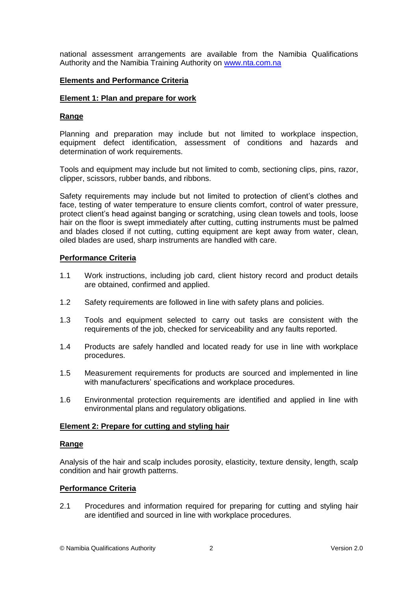national assessment arrangements are available from the Namibia Qualifications Authority and the Namibia Training Authority on [www.nta.com.na](http://www.nta.com.na/)

# **Elements and Performance Criteria**

### **Element 1: Plan and prepare for work**

# **Range**

Planning and preparation may include but not limited to workplace inspection, equipment defect identification, assessment of conditions and hazards and determination of work requirements.

Tools and equipment may include but not limited to comb, sectioning clips, pins, razor, clipper, scissors, rubber bands, and ribbons.

Safety requirements may include but not limited to protection of client's clothes and face, testing of water temperature to ensure clients comfort, control of water pressure, protect client's head against banging or scratching, using clean towels and tools, loose hair on the floor is swept immediately after cutting, cutting instruments must be palmed and blades closed if not cutting, cutting equipment are kept away from water, clean, oiled blades are used, sharp instruments are handled with care.

# **Performance Criteria**

- 1.1 Work instructions, including job card, client history record and product details are obtained, confirmed and applied.
- 1.2 Safety requirements are followed in line with safety plans and policies.
- 1.3 Tools and equipment selected to carry out tasks are consistent with the requirements of the job, checked for serviceability and any faults reported.
- 1.4 Products are safely handled and located ready for use in line with workplace procedures.
- 1.5 Measurement requirements for products are sourced and implemented in line with manufacturers' specifications and workplace procedures.
- 1.6 Environmental protection requirements are identified and applied in line with environmental plans and regulatory obligations.

# **Element 2: Prepare for cutting and styling hair**

### **Range**

Analysis of the hair and scalp includes porosity, elasticity, texture density, length, scalp condition and hair growth patterns.

### **Performance Criteria**

2.1 Procedures and information required for preparing for cutting and styling hair are identified and sourced in line with workplace procedures.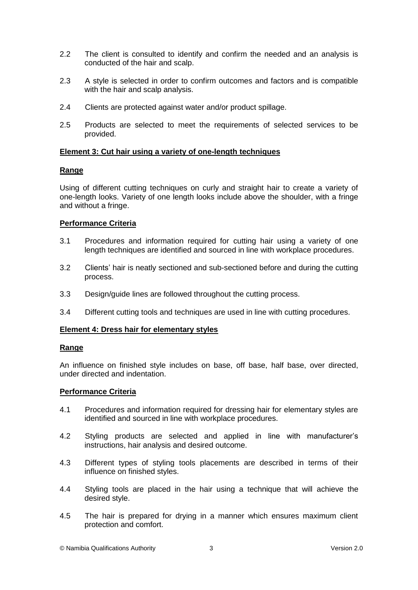- 2.2 The client is consulted to identify and confirm the needed and an analysis is conducted of the hair and scalp.
- 2.3 A style is selected in order to confirm outcomes and factors and is compatible with the hair and scalp analysis.
- 2.4 Clients are protected against water and/or product spillage.
- 2.5 Products are selected to meet the requirements of selected services to be provided.

# **Element 3: Cut hair using a variety of one-length techniques**

# **Range**

Using of different cutting techniques on curly and straight hair to create a variety of one-length looks. Variety of one length looks include above the shoulder, with a fringe and without a fringe.

# **Performance Criteria**

- 3.1 Procedures and information required for cutting hair using a variety of one length techniques are identified and sourced in line with workplace procedures.
- 3.2 Clients' hair is neatly sectioned and sub-sectioned before and during the cutting process.
- 3.3 Design/guide lines are followed throughout the cutting process.
- 3.4 Different cutting tools and techniques are used in line with cutting procedures.

### **Element 4: Dress hair for elementary styles**

### **Range**

An influence on finished style includes on base, off base, half base, over directed, under directed and indentation.

# **Performance Criteria**

- 4.1 Procedures and information required for dressing hair for elementary styles are identified and sourced in line with workplace procedures.
- 4.2 Styling products are selected and applied in line with manufacturer's instructions, hair analysis and desired outcome.
- 4.3 Different types of styling tools placements are described in terms of their influence on finished styles.
- 4.4 Styling tools are placed in the hair using a technique that will achieve the desired style.
- 4.5 The hair is prepared for drying in a manner which ensures maximum client protection and comfort.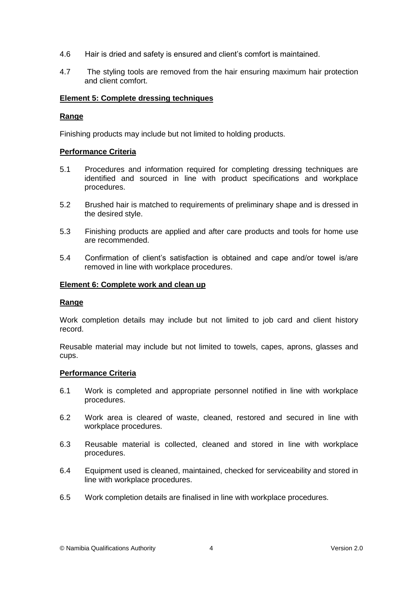- 4.6 Hair is dried and safety is ensured and client's comfort is maintained.
- 4.7 The styling tools are removed from the hair ensuring maximum hair protection and client comfort.

### **Element 5: Complete dressing techniques**

# **Range**

Finishing products may include but not limited to holding products.

# **Performance Criteria**

- 5.1 Procedures and information required for completing dressing techniques are identified and sourced in line with product specifications and workplace procedures.
- 5.2 Brushed hair is matched to requirements of preliminary shape and is dressed in the desired style.
- 5.3 Finishing products are applied and after care products and tools for home use are recommended.
- 5.4 Confirmation of client's satisfaction is obtained and cape and/or towel is/are removed in line with workplace procedures.

### **Element 6: Complete work and clean up**

### **Range**

Work completion details may include but not limited to job card and client history record.

Reusable material may include but not limited to towels, capes, aprons, glasses and cups.

### **Performance Criteria**

- 6.1 Work is completed and appropriate personnel notified in line with workplace procedures.
- 6.2 Work area is cleared of waste, cleaned, restored and secured in line with workplace procedures.
- 6.3 Reusable material is collected, cleaned and stored in line with workplace procedures.
- 6.4 Equipment used is cleaned, maintained, checked for serviceability and stored in line with workplace procedures.
- 6.5 Work completion details are finalised in line with workplace procedures.